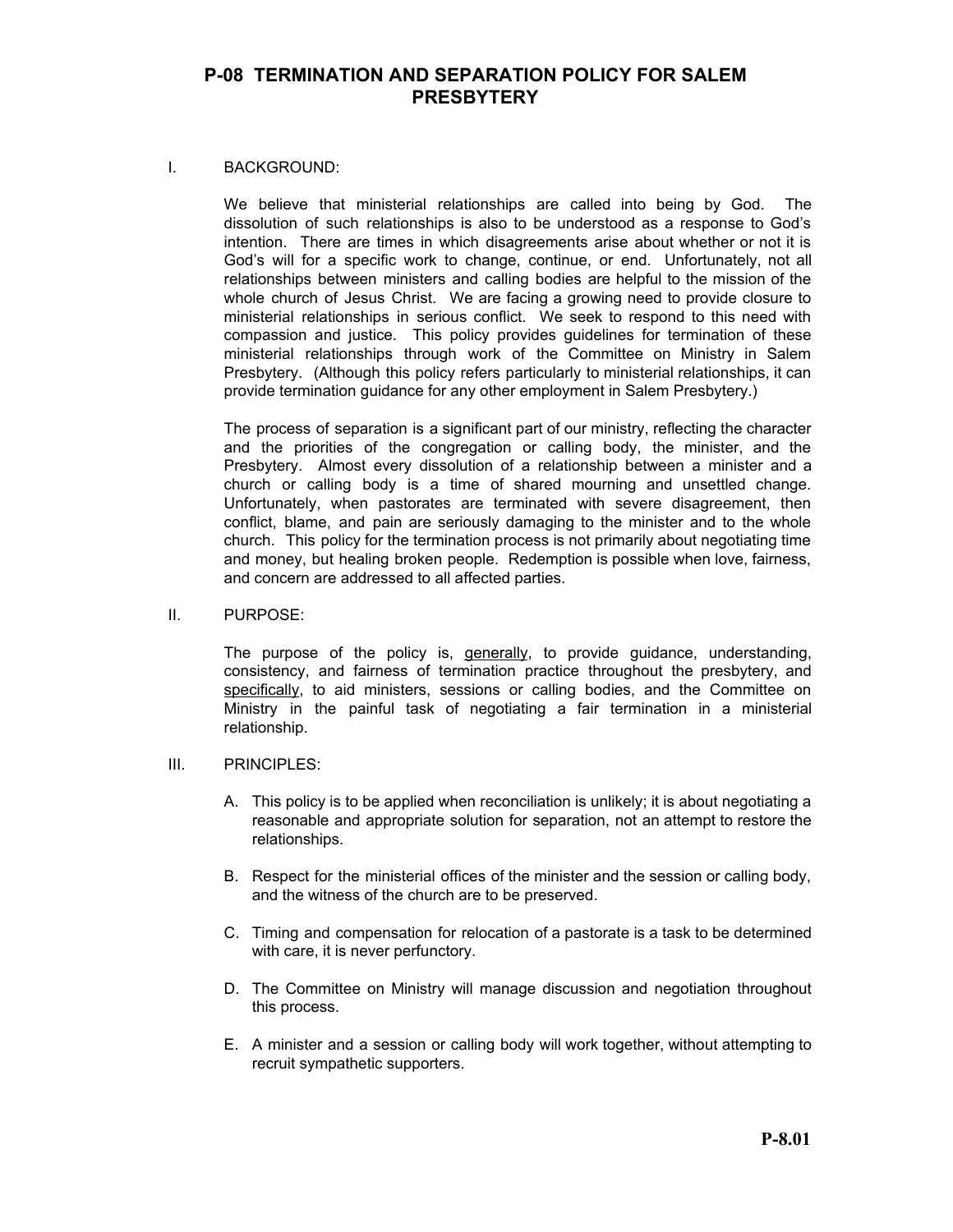#### I. BACKGROUND:

We believe that ministerial relationships are called into being by God. The dissolution of such relationships is also to be understood as a response to God's intention. There are times in which disagreements arise about whether or not it is God's will for a specific work to change, continue, or end. Unfortunately, not all relationships between ministers and calling bodies are helpful to the mission of the whole church of Jesus Christ. We are facing a growing need to provide closure to ministerial relationships in serious conflict. We seek to respond to this need with compassion and justice. This policy provides guidelines for termination of these ministerial relationships through work of the Committee on Ministry in Salem Presbytery. (Although this policy refers particularly to ministerial relationships, it can provide termination guidance for any other employment in Salem Presbytery.)

The process of separation is a significant part of our ministry, reflecting the character and the priorities of the congregation or calling body, the minister, and the Presbytery. Almost every dissolution of a relationship between a minister and a church or calling body is a time of shared mourning and unsettled change. Unfortunately, when pastorates are terminated with severe disagreement, then conflict, blame, and pain are seriously damaging to the minister and to the whole church. This policy for the termination process is not primarily about negotiating time and money, but healing broken people. Redemption is possible when love, fairness, and concern are addressed to all affected parties.

#### II. PURPOSE:

The purpose of the policy is, generally, to provide guidance, understanding, consistency, and fairness of termination practice throughout the presbytery, and specifically, to aid ministers, sessions or calling bodies, and the Committee on Ministry in the painful task of negotiating a fair termination in a ministerial relationship.

#### III. PRINCIPLES:

- A. This policy is to be applied when reconciliation is unlikely; it is about negotiating a reasonable and appropriate solution for separation, not an attempt to restore the relationships.
- B. Respect for the ministerial offices of the minister and the session or calling body, and the witness of the church are to be preserved.
- C. Timing and compensation for relocation of a pastorate is a task to be determined with care, it is never perfunctory.
- D. The Committee on Ministry will manage discussion and negotiation throughout this process.
- E. A minister and a session or calling body will work together, without attempting to recruit sympathetic supporters.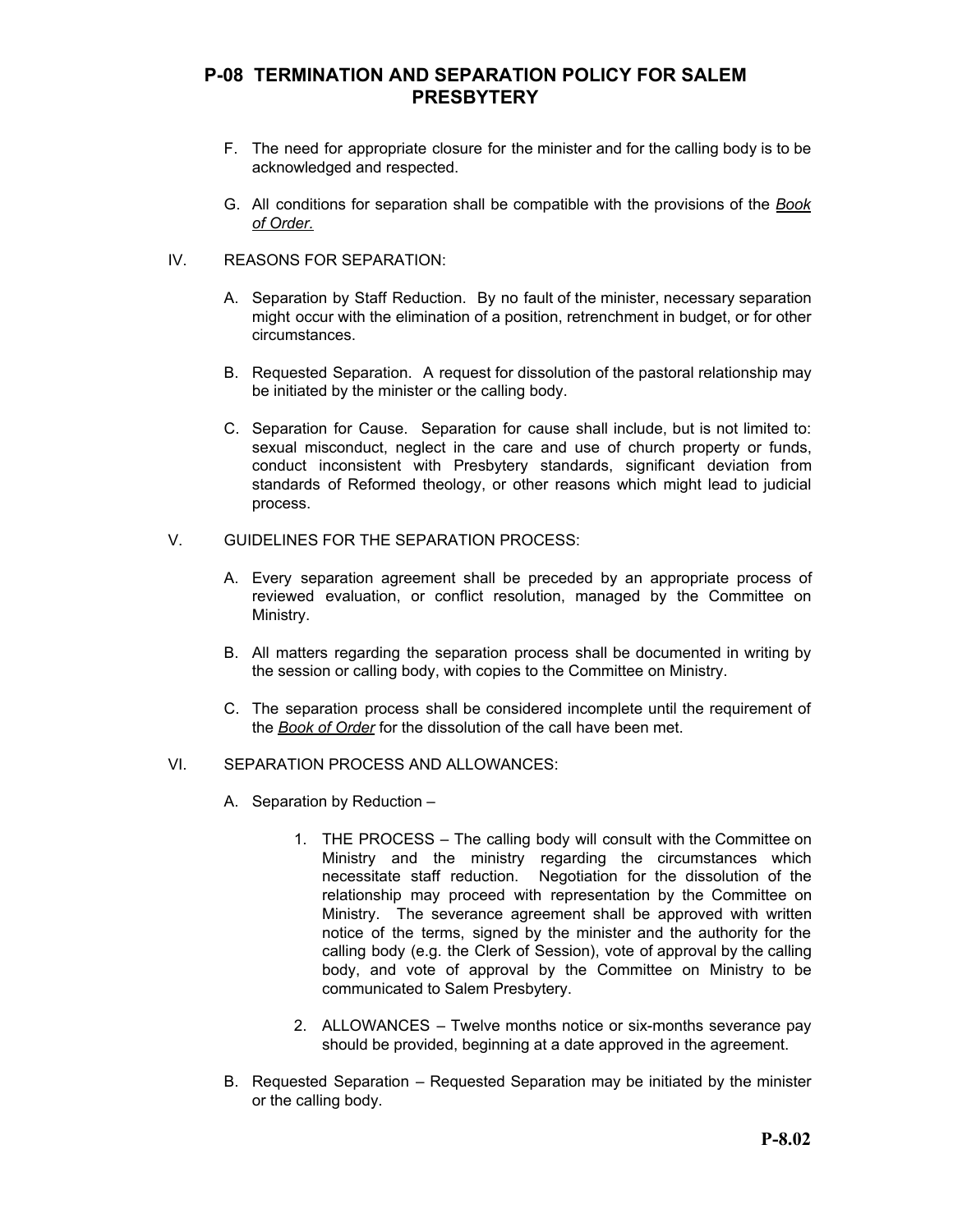- F. The need for appropriate closure for the minister and for the calling body is to be acknowledged and respected.
- G. All conditions for separation shall be compatible with the provisions of the *Book of Order.*

#### IV. REASONS FOR SEPARATION:

- A. Separation by Staff Reduction. By no fault of the minister, necessary separation might occur with the elimination of a position, retrenchment in budget, or for other circumstances.
- B. Requested Separation. A request for dissolution of the pastoral relationship may be initiated by the minister or the calling body.
- C. Separation for Cause. Separation for cause shall include, but is not limited to: sexual misconduct, neglect in the care and use of church property or funds, conduct inconsistent with Presbytery standards, significant deviation from standards of Reformed theology, or other reasons which might lead to judicial process.
- V. GUIDELINES FOR THE SEPARATION PROCESS:
	- A. Every separation agreement shall be preceded by an appropriate process of reviewed evaluation, or conflict resolution, managed by the Committee on Ministry.
	- B. All matters regarding the separation process shall be documented in writing by the session or calling body, with copies to the Committee on Ministry.
	- C. The separation process shall be considered incomplete until the requirement of the *Book of Order* for the dissolution of the call have been met.

### VI. SEPARATION PROCESS AND ALLOWANCES:

- A. Separation by Reduction
	- 1. THE PROCESS The calling body will consult with the Committee on Ministry and the ministry regarding the circumstances which necessitate staff reduction. Negotiation for the dissolution of the relationship may proceed with representation by the Committee on Ministry. The severance agreement shall be approved with written notice of the terms, signed by the minister and the authority for the calling body (e.g. the Clerk of Session), vote of approval by the calling body, and vote of approval by the Committee on Ministry to be communicated to Salem Presbytery.
	- 2. ALLOWANCES Twelve months notice or six-months severance pay should be provided, beginning at a date approved in the agreement.
- B. Requested Separation Requested Separation may be initiated by the minister or the calling body.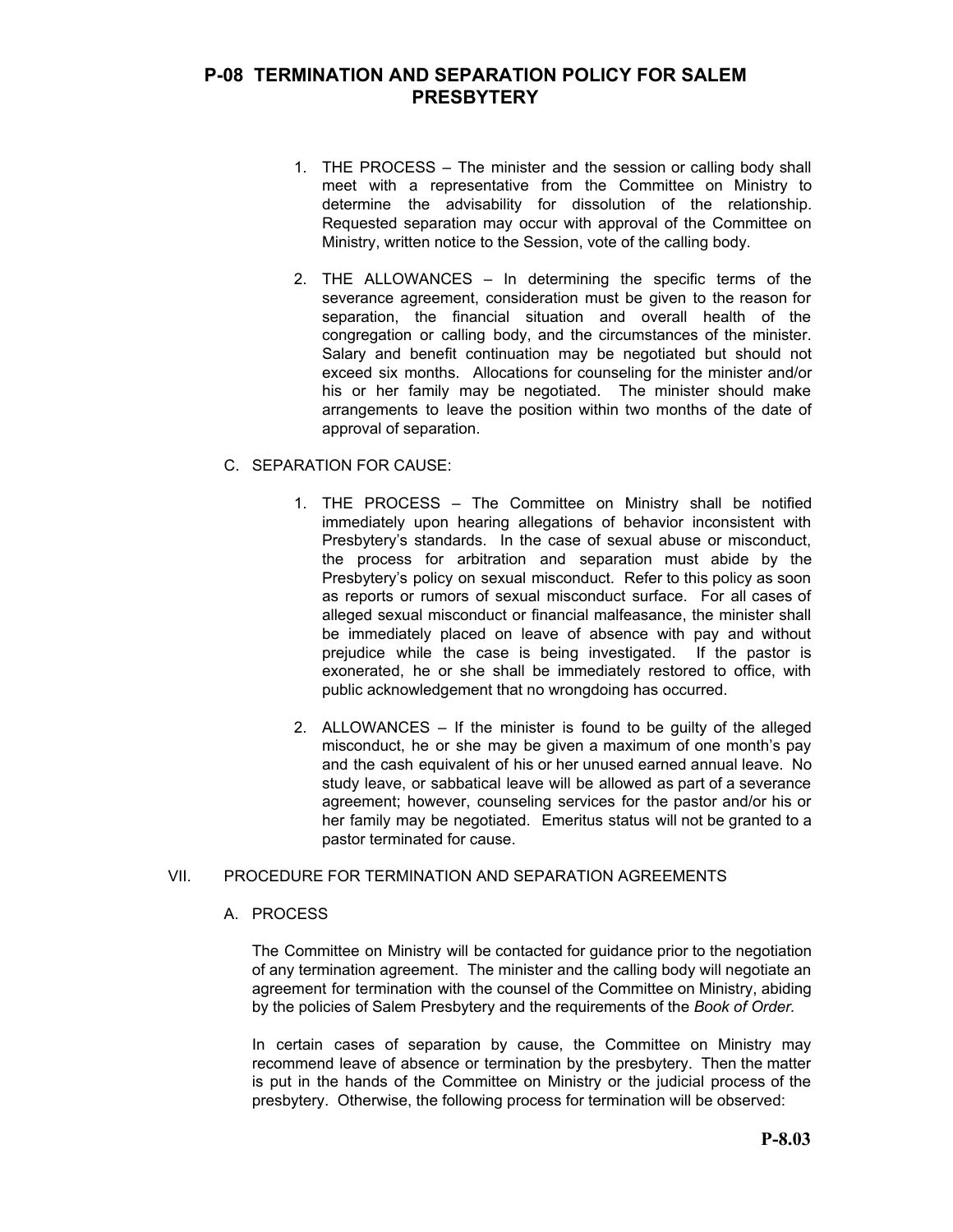- 1. THE PROCESS The minister and the session or calling body shall meet with a representative from the Committee on Ministry to determine the advisability for dissolution of the relationship. Requested separation may occur with approval of the Committee on Ministry, written notice to the Session, vote of the calling body.
- 2. THE ALLOWANCES In determining the specific terms of the severance agreement, consideration must be given to the reason for separation, the financial situation and overall health of the congregation or calling body, and the circumstances of the minister. Salary and benefit continuation may be negotiated but should not exceed six months. Allocations for counseling for the minister and/or his or her family may be negotiated. The minister should make arrangements to leave the position within two months of the date of approval of separation.

### C. SEPARATION FOR CAUSE:

- 1. THE PROCESS The Committee on Ministry shall be notified immediately upon hearing allegations of behavior inconsistent with Presbytery's standards. In the case of sexual abuse or misconduct, the process for arbitration and separation must abide by the Presbytery's policy on sexual misconduct. Refer to this policy as soon as reports or rumors of sexual misconduct surface. For all cases of alleged sexual misconduct or financial malfeasance, the minister shall be immediately placed on leave of absence with pay and without prejudice while the case is being investigated. If the pastor is exonerated, he or she shall be immediately restored to office, with public acknowledgement that no wrongdoing has occurred.
- 2. ALLOWANCES If the minister is found to be guilty of the alleged misconduct, he or she may be given a maximum of one month's pay and the cash equivalent of his or her unused earned annual leave. No study leave, or sabbatical leave will be allowed as part of a severance agreement; however, counseling services for the pastor and/or his or her family may be negotiated. Emeritus status will not be granted to a pastor terminated for cause.

### VII. PROCEDURE FOR TERMINATION AND SEPARATION AGREEMENTS

#### A. PROCESS

The Committee on Ministry will be contacted for guidance prior to the negotiation of any termination agreement. The minister and the calling body will negotiate an agreement for termination with the counsel of the Committee on Ministry, abiding by the policies of Salem Presbytery and the requirements of the *Book of Order.*

In certain cases of separation by cause, the Committee on Ministry may recommend leave of absence or termination by the presbytery. Then the matter is put in the hands of the Committee on Ministry or the judicial process of the presbytery. Otherwise, the following process for termination will be observed: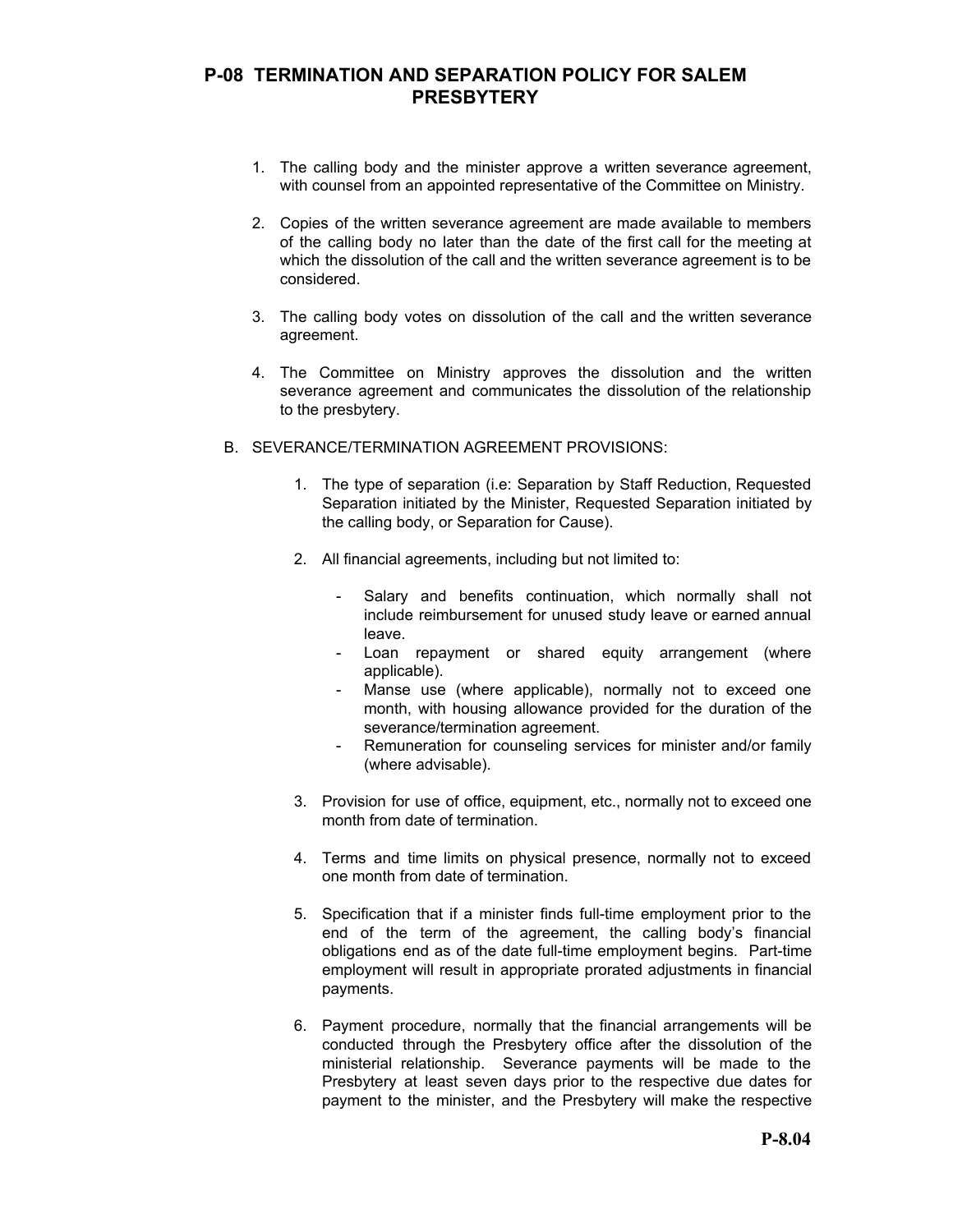- 1. The calling body and the minister approve a written severance agreement, with counsel from an appointed representative of the Committee on Ministry.
- 2. Copies of the written severance agreement are made available to members of the calling body no later than the date of the first call for the meeting at which the dissolution of the call and the written severance agreement is to be considered.
- 3. The calling body votes on dissolution of the call and the written severance agreement.
- 4. The Committee on Ministry approves the dissolution and the written severance agreement and communicates the dissolution of the relationship to the presbytery.
- B. SEVERANCE/TERMINATION AGREEMENT PROVISIONS:
	- 1. The type of separation (i.e: Separation by Staff Reduction, Requested Separation initiated by the Minister, Requested Separation initiated by the calling body, or Separation for Cause).
	- 2. All financial agreements, including but not limited to:
		- Salary and benefits continuation, which normally shall not include reimbursement for unused study leave or earned annual leave.
		- Loan repayment or shared equity arrangement (where applicable).
		- Manse use (where applicable), normally not to exceed one month, with housing allowance provided for the duration of the severance/termination agreement.
		- Remuneration for counseling services for minister and/or family (where advisable).
	- 3. Provision for use of office, equipment, etc., normally not to exceed one month from date of termination.
	- 4. Terms and time limits on physical presence, normally not to exceed one month from date of termination.
	- 5. Specification that if a minister finds full-time employment prior to the end of the term of the agreement, the calling body's financial obligations end as of the date full-time employment begins. Part-time employment will result in appropriate prorated adjustments in financial payments.
	- 6. Payment procedure, normally that the financial arrangements will be conducted through the Presbytery office after the dissolution of the ministerial relationship. Severance payments will be made to the Presbytery at least seven days prior to the respective due dates for payment to the minister, and the Presbytery will make the respective